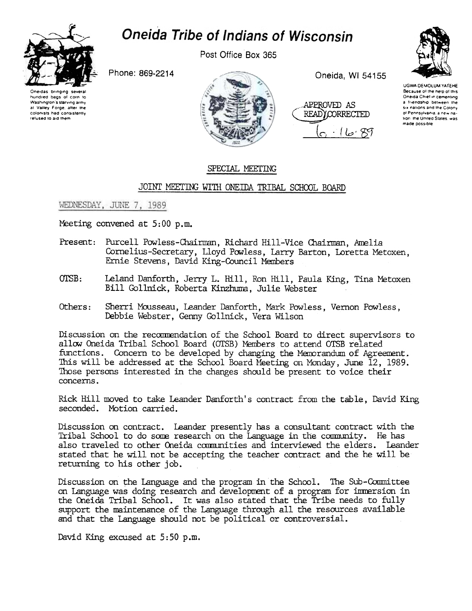

## **Oneida Tribe of Indians of Wisconsin**

Post Office Box 365

Phone: 869-2214





Oneida, WI 54155

APPROVED AS **READY CORRECTED** 'کا ا



UGWA DEMOLUM YATEHE Because of the help of this Oneida Chief in cementing a friendship between the six nations and the Colony of Pennsylvania, a new nation, the United States, was made possible

## SPECIAL MEETING

## JOINT MEETING WITH ONEIDA TRIBAL SCHOOL BOARD

## WEDNESDAY, JUNE 7, 1989

Meeting convened at 5:00 p.m.

- Present: Purcell Powless-Chairman, Richard Hill-Vice Chairman, Amelia Cornelius-Secretary, Lloyd Powless, Larry Barton, Loretta Metoxen, Ernie Stevens, David King-Council Members
- Leland Danforth, Jerry L. Hill, Ron Hill, Paula King, Tina Metoxen OTSB: Bill Gollnick, Roberta Kinzhuma, Julie Webster
- Others: Sherri Mousseau, Leander Danforth, Mark Powless, Vernon Powless, Debbie Webster, Genny Gollnick, Vera Wilson

Discussion on the recommendation of the School Board to direct supervisors to allow Oneida Tribal School Board (OTSB) Members to attend OTSB related functions. Concern to be developed by changing the Memorandum of Agreement. This will be addressed at the School Board Meeting on Monday, June 12, 1989. Those persons interested in the changes should be present to voice their concerns.

Rick Hill moved to take Leander Danforth's contract from the table, David King seconded. Motion carried.

Discussion on contract. Leander presently has a consultant contract with the Tribal School to do some research on the Language in the community. He has also traveled to other Oneida communities and interviewed the elders. Leander stated that he will not be accepting the teacher contract and the he will be returning to his other job.

Discussion on the Language and the program in the School. The Sub-Committee on Language was doing research and development of a program for immersion in the Oneida Tribal School. It was also stated that the Tribe needs to fully support the maintenance of the Language through all the resources available and that the Language should not be political or controversial.

David King excused at 5:50 p.m.